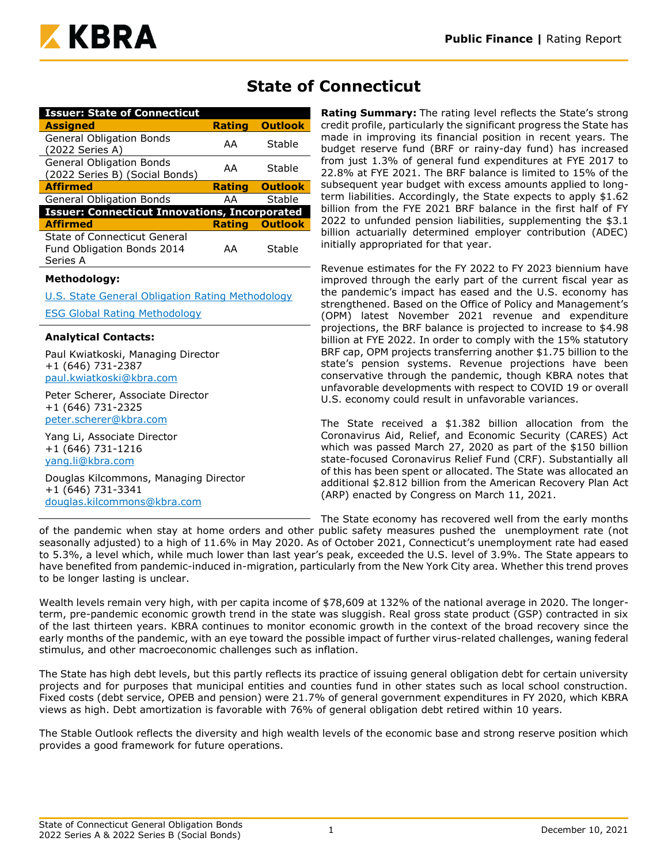

| <b>Issuer: State of Connecticut</b>                                           |               |                |
|-------------------------------------------------------------------------------|---------------|----------------|
| <b>Assigned</b>                                                               | <b>Rating</b> | <b>Outlook</b> |
| <b>General Obligation Bonds</b><br>(2022 Series A)                            | AA            | Stable         |
| <b>General Obligation Bonds</b><br>(2022 Series B) (Social Bonds)             | AA            | Stable         |
| <b>Affirmed</b>                                                               | <b>Rating</b> | <b>Outlook</b> |
| <b>General Obligation Bonds</b>                                               | AА            | Stable         |
| <b>Issuer: Connecticut Innovations, Incorporated</b>                          |               |                |
| <b>Affirmed</b>                                                               | <b>Rating</b> | <b>Outlook</b> |
| State of Connecticut General<br><b>Fund Obligation Bonds 2014</b><br>Series A | AA            | Stable         |
| <b>Methodology:</b>                                                           |               |                |

[U.S. State General Obligation Rating Methodology](https://www.kbra.com/documents/report/74/public-finance-u-s-state-general-obligation-rating-methodology)

[ESG Global Rating Methodology](https://www.kbra.com/documents/report/47746/esg-global-rating-methodology)

## **Analytical Contacts:**

Paul Kwiatkoski, Managing Director +1 (646) 731-2387 [paul.kwiatkoski@kbra.com](mailto:paul.kwiatkoski@kbra.com)

Peter Scherer, Associate Director +1 (646) 731-2325 [peter.scherer@kbra.com](mailto:peter.scherer@kbra.com)

Yang Li, Associate Director +1 (646) 731-1216 [yang.li@kbra.com](mailto:yang.li@kbra.com)

Douglas Kilcommons, Managing Director +1 (646) 731-3341 [douglas.kilcommons@kbra.com](mailto:douglas.kilcommons@kbra.com)

# **State of Connecticut**

**Rating Summary:** The rating level reflects the State's strong credit profile, particularly the significant progress the State has made in improving its financial position in recent years. The budget reserve fund (BRF or rainy-day fund) has increased from just 1.3% of general fund expenditures at FYE 2017 to 22.8% at FYE 2021. The BRF balance is limited to 15% of the subsequent year budget with excess amounts applied to longterm liabilities. Accordingly, the State expects to apply \$1.62 billion from the FYE 2021 BRF balance in the first half of FY 2022 to unfunded pension liabilities, supplementing the \$3.1 billion actuarially determined employer contribution (ADEC) initially appropriated for that year.

Revenue estimates for the FY 2022 to FY 2023 biennium have improved through the early part of the current fiscal year as the pandemic's impact has eased and the U.S. economy has strengthened. Based on the Office of Policy and Management's (OPM) latest November 2021 revenue and expenditure projections, the BRF balance is projected to increase to \$4.98 billion at FYE 2022. In order to comply with the 15% statutory BRF cap, OPM projects transferring another \$1.75 billion to the state's pension systems. Revenue projections have been conservative through the pandemic, though KBRA notes that unfavorable developments with respect to COVID 19 or overall U.S. economy could result in unfavorable variances.

The State received a \$1.382 billion allocation from the Coronavirus Aid, Relief, and Economic Security (CARES) Act which was passed March 27, 2020 as part of the \$150 billion state-focused Coronavirus Relief Fund (CRF). Substantially all of this has been spent or allocated. The State was allocated an additional \$2.812 billion from the American Recovery Plan Act (ARP) enacted by Congress on March 11, 2021.

The State economy has recovered well from the early months

of the pandemic when stay at home orders and other public safety measures pushed the unemployment rate (not seasonally adjusted) to a high of 11.6% in May 2020. As of October 2021, Connecticut's unemployment rate had eased to 5.3%, a level which, while much lower than last year's peak, exceeded the U.S. level of 3.9%. The State appears to have benefited from pandemic-induced in-migration, particularly from the New York City area. Whether this trend proves to be longer lasting is unclear.

Wealth levels remain very high, with per capita income of \$78,609 at 132% of the national average in 2020. The longerterm, pre-pandemic economic growth trend in the state was sluggish. Real gross state product (GSP) contracted in six of the last thirteen years. KBRA continues to monitor economic growth in the context of the broad recovery since the early months of the pandemic, with an eye toward the possible impact of further virus-related challenges, waning federal stimulus, and other macroeconomic challenges such as inflation.

The State has high debt levels, but this partly reflects its practice of issuing general obligation debt for certain university projects and for purposes that municipal entities and counties fund in other states such as local school construction. Fixed costs (debt service, OPEB and pension) were 21.7% of general government expenditures in FY 2020, which KBRA views as high. Debt amortization is favorable with 76% of general obligation debt retired within 10 years.

The Stable Outlook reflects the diversity and high wealth levels of the economic base and strong reserve position which provides a good framework for future operations.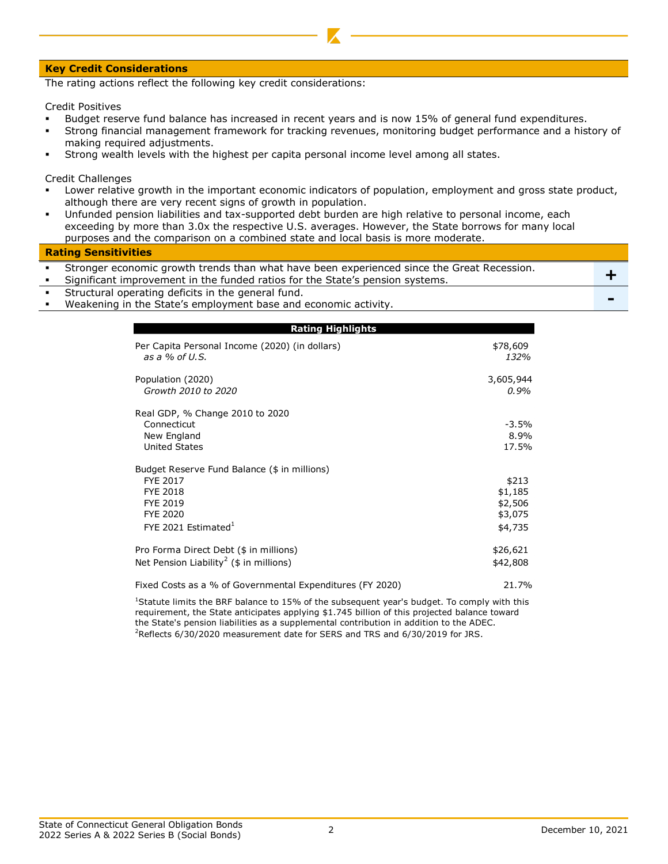#### **Key Credit Considerations**

The rating actions reflect the following key credit considerations:

Credit Positives

- Budget reserve fund balance has increased in recent years and is now 15% of general fund expenditures.
- Strong financial management framework for tracking revenues, monitoring budget performance and a history of making required adjustments.
- Strong wealth levels with the highest per capita personal income level among all states.

Credit Challenges

- Lower relative growth in the important economic indicators of population, employment and gross state product, although there are very recent signs of growth in population.
- Unfunded pension liabilities and tax-supported debt burden are high relative to personal income, each exceeding by more than 3.0x the respective U.S. averages. However, the State borrows for many local purposes and the comparison on a combined state and local basis is more moderate.

#### **Rating Sensitivities**

| Stronger economic growth trends than what have been experienced since the Great Recession.<br>Significant improvement in the funded ratios for the State's pension systems. |  |
|-----------------------------------------------------------------------------------------------------------------------------------------------------------------------------|--|
| Structural operating deficits in the general fund.                                                                                                                          |  |
| Weakoning in the Ctate's employment has and esenemic activity                                                                                                               |  |

▪ Weakening in the State's employment base and economic activity. **-**

| <b>Rating Highlights</b>                                                                                                                     |                                                   |
|----------------------------------------------------------------------------------------------------------------------------------------------|---------------------------------------------------|
| Per Capita Personal Income (2020) (in dollars)<br>as a $%$ of U.S.                                                                           | \$78,609<br>132%                                  |
| Population (2020)<br>Growth 2010 to 2020                                                                                                     | 3,605,944<br>$0.9\%$                              |
| Real GDP, % Change 2010 to 2020<br>Connecticut<br>New England<br><b>United States</b>                                                        | $-3.5\%$<br>8.9%<br>17.5%                         |
| Budget Reserve Fund Balance (\$ in millions)<br>FYE 2017<br><b>FYE 2018</b><br><b>FYE 2019</b><br><b>FYE 2020</b><br>FYE 2021 Estimated $^1$ | \$213<br>\$1,185<br>\$2,506<br>\$3,075<br>\$4,735 |
| Pro Forma Direct Debt (\$ in millions)<br>Net Pension Liability <sup>2</sup> (\$ in millions)                                                | \$26,621<br>\$42,808                              |
| Fixed Costs as a % of Governmental Expenditures (FY 2020)                                                                                    | 21.7%                                             |

<sup>2</sup>Reflects 6/30/2020 measurement date for SERS and TRS and 6/30/2019 for JRS. <sup>1</sup>Statute limits the BRF balance to 15% of the subsequent year's budget. To comply with this requirement, the State anticipates applying \$1.745 billion of this projected balance toward the State's pension liabilities as a supplemental contribution in addition to the ADEC.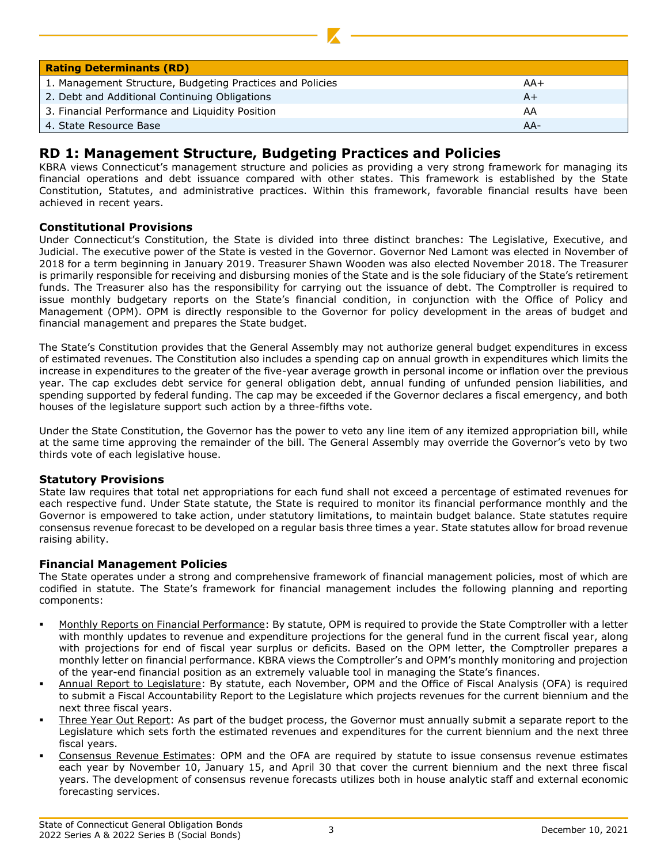| <b>Rating Determinants (RD)</b>                           |       |
|-----------------------------------------------------------|-------|
| 1. Management Structure, Budgeting Practices and Policies | $AA+$ |
| 2. Debt and Additional Continuing Obligations             | A+    |
| 3. Financial Performance and Liquidity Position           | AA    |
| 4. State Resource Base                                    | $AA-$ |

# **RD 1: Management Structure, Budgeting Practices and Policies**

KBRA views Connecticut's management structure and policies as providing a very strong framework for managing its financial operations and debt issuance compared with other states. This framework is established by the State Constitution, Statutes, and administrative practices. Within this framework, favorable financial results have been achieved in recent years.

## **Constitutional Provisions**

Under Connecticut's Constitution, the State is divided into three distinct branches: The Legislative, Executive, and Judicial. The executive power of the State is vested in the Governor. Governor Ned Lamont was elected in November of 2018 for a term beginning in January 2019. Treasurer Shawn Wooden was also elected November 2018. The Treasurer is primarily responsible for receiving and disbursing monies of the State and is the sole fiduciary of the State's retirement funds. The Treasurer also has the responsibility for carrying out the issuance of debt. The Comptroller is required to issue monthly budgetary reports on the State's financial condition, in conjunction with the Office of Policy and Management (OPM). OPM is directly responsible to the Governor for policy development in the areas of budget and financial management and prepares the State budget.

The State's Constitution provides that the General Assembly may not authorize general budget expenditures in excess of estimated revenues. The Constitution also includes a spending cap on annual growth in expenditures which limits the increase in expenditures to the greater of the five-year average growth in personal income or inflation over the previous year. The cap excludes debt service for general obligation debt, annual funding of unfunded pension liabilities, and spending supported by federal funding. The cap may be exceeded if the Governor declares a fiscal emergency, and both houses of the legislature support such action by a three-fifths vote.

Under the State Constitution, the Governor has the power to veto any line item of any itemized appropriation bill, while at the same time approving the remainder of the bill. The General Assembly may override the Governor's veto by two thirds vote of each legislative house.

## **Statutory Provisions**

State law requires that total net appropriations for each fund shall not exceed a percentage of estimated revenues for each respective fund. Under State statute, the State is required to monitor its financial performance monthly and the Governor is empowered to take action, under statutory limitations, to maintain budget balance. State statutes require consensus revenue forecast to be developed on a regular basis three times a year. State statutes allow for broad revenue raising ability.

## **Financial Management Policies**

The State operates under a strong and comprehensive framework of financial management policies, most of which are codified in statute. The State's framework for financial management includes the following planning and reporting components:

- Monthly Reports on Financial Performance: By statute, OPM is required to provide the State Comptroller with a letter with monthly updates to revenue and expenditure projections for the general fund in the current fiscal year, along with projections for end of fiscal year surplus or deficits. Based on the OPM letter, the Comptroller prepares a monthly letter on financial performance. KBRA views the Comptroller's and OPM's monthly monitoring and projection of the year-end financial position as an extremely valuable tool in managing the State's finances.
- Annual Report to Legislature: By statute, each November, OPM and the Office of Fiscal Analysis (OFA) is required to submit a Fiscal Accountability Report to the Legislature which projects revenues for the current biennium and the next three fiscal years.
- Three Year Out Report: As part of the budget process, the Governor must annually submit a separate report to the Legislature which sets forth the estimated revenues and expenditures for the current biennium and the next three fiscal years.
- Consensus Revenue Estimates: OPM and the OFA are required by statute to issue consensus revenue estimates each year by November 10, January 15, and April 30 that cover the current biennium and the next three fiscal years. The development of consensus revenue forecasts utilizes both in house analytic staff and external economic forecasting services.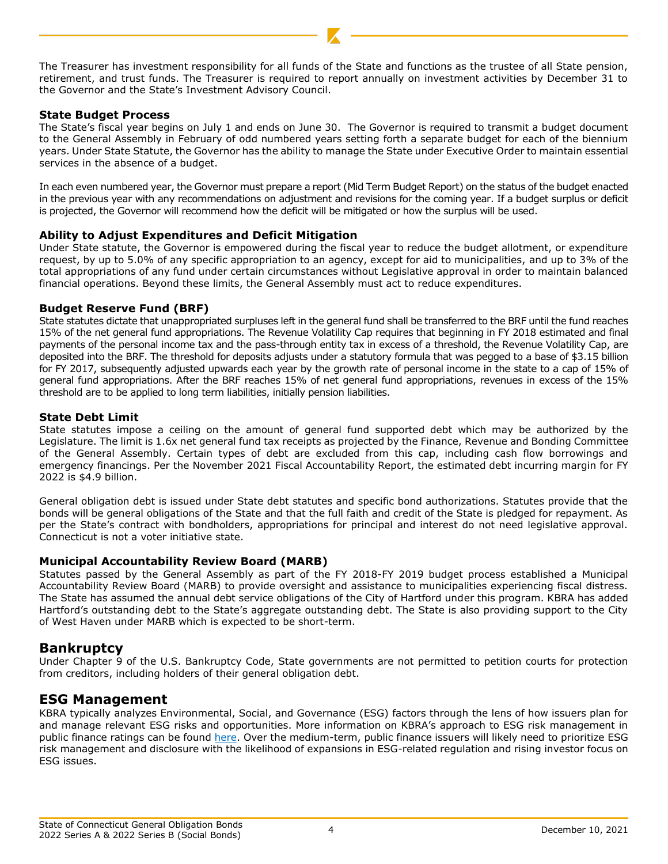The Treasurer has investment responsibility for all funds of the State and functions as the trustee of all State pension, retirement, and trust funds. The Treasurer is required to report annually on investment activities by December 31 to the Governor and the State's Investment Advisory Council.

## **State Budget Process**

The State's fiscal year begins on July 1 and ends on June 30. The Governor is required to transmit a budget document to the General Assembly in February of odd numbered years setting forth a separate budget for each of the biennium years. Under State Statute, the Governor has the ability to manage the State under Executive Order to maintain essential services in the absence of a budget.

In each even numbered year, the Governor must prepare a report (Mid Term Budget Report) on the status of the budget enacted in the previous year with any recommendations on adjustment and revisions for the coming year. If a budget surplus or deficit is projected, the Governor will recommend how the deficit will be mitigated or how the surplus will be used.

## **Ability to Adjust Expenditures and Deficit Mitigation**

Under State statute, the Governor is empowered during the fiscal year to reduce the budget allotment, or expenditure request, by up to 5.0% of any specific appropriation to an agency, except for aid to municipalities, and up to 3% of the total appropriations of any fund under certain circumstances without Legislative approval in order to maintain balanced financial operations. Beyond these limits, the General Assembly must act to reduce expenditures.

## **Budget Reserve Fund (BRF)**

State statutes dictate that unappropriated surpluses left in the general fund shall be transferred to the BRF until the fund reaches 15% of the net general fund appropriations. The Revenue Volatility Cap requires that beginning in FY 2018 estimated and final payments of the personal income tax and the pass-through entity tax in excess of a threshold, the Revenue Volatility Cap, are deposited into the BRF. The threshold for deposits adjusts under a statutory formula that was pegged to a base of \$3.15 billion for FY 2017, subsequently adjusted upwards each year by the growth rate of personal income in the state to a cap of 15% of general fund appropriations. After the BRF reaches 15% of net general fund appropriations, revenues in excess of the 15% threshold are to be applied to long term liabilities, initially pension liabilities.

## **State Debt Limit**

State statutes impose a ceiling on the amount of general fund supported debt which may be authorized by the Legislature. The limit is 1.6x net general fund tax receipts as projected by the Finance, Revenue and Bonding Committee of the General Assembly. Certain types of debt are excluded from this cap, including cash flow borrowings and emergency financings. Per the November 2021 Fiscal Accountability Report, the estimated debt incurring margin for FY 2022 is \$4.9 billion.

General obligation debt is issued under State debt statutes and specific bond authorizations. Statutes provide that the bonds will be general obligations of the State and that the full faith and credit of the State is pledged for repayment. As per the State's contract with bondholders, appropriations for principal and interest do not need legislative approval. Connecticut is not a voter initiative state.

## **Municipal Accountability Review Board (MARB)**

Statutes passed by the General Assembly as part of the FY 2018-FY 2019 budget process established a Municipal Accountability Review Board (MARB) to provide oversight and assistance to municipalities experiencing fiscal distress. The State has assumed the annual debt service obligations of the City of Hartford under this program. KBRA has added Hartford's outstanding debt to the State's aggregate outstanding debt. The State is also providing support to the City of West Haven under MARB which is expected to be short-term.

## **Bankruptcy**

Under Chapter 9 of the U.S. Bankruptcy Code, State governments are not permitted to petition courts for protection from creditors, including holders of their general obligation debt.

## **ESG Management**

KBRA typically analyzes Environmental, Social, and Governance (ESG) factors through the lens of how issuers plan for and manage relevant ESG risks and opportunities. More information on KBRA's approach to ESG risk management in public finance ratings can be found [here.](https://www.kbra.com/documents/report/56672/states-kbra-s-framework-for-incorporating-esg-risk-management-in-credit-ratings) Over the medium-term, public finance issuers will likely need to prioritize ESG risk management and disclosure with the likelihood of expansions in ESG-related regulation and rising investor focus on ESG issues.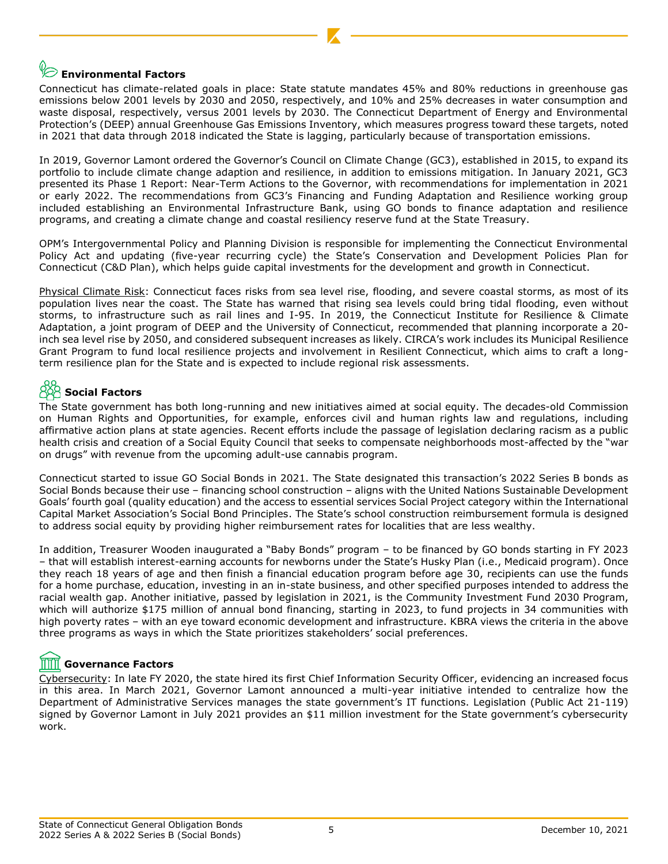# **Environmental Factors**

Connecticut has climate-related goals in place: State statute mandates 45% and 80% reductions in greenhouse gas emissions below 2001 levels by 2030 and 2050, respectively, and 10% and 25% decreases in water consumption and waste disposal, respectively, versus 2001 levels by 2030. The Connecticut Department of Energy and Environmental Protection's (DEEP) annual Greenhouse Gas Emissions Inventory, which measures progress toward these targets, noted in 2021 that data through 2018 indicated the State is lagging, particularly because of transportation emissions.

In 2019, Governor Lamont ordered the Governor's Council on Climate Change (GC3), established in 2015, to expand its portfolio to include climate change adaption and resilience, in addition to emissions mitigation. In January 2021, GC3 presented its Phase 1 Report: Near-Term Actions to the Governor, with recommendations for implementation in 2021 or early 2022. The recommendations from GC3's Financing and Funding Adaptation and Resilience working group included establishing an Environmental Infrastructure Bank, using GO bonds to finance adaptation and resilience programs, and creating a climate change and coastal resiliency reserve fund at the State Treasury.

OPM's Intergovernmental Policy and Planning Division is responsible for implementing the Connecticut Environmental Policy Act and updating (five-year recurring cycle) the State's Conservation and Development Policies Plan for Connecticut (C&D Plan), which helps guide capital investments for the development and growth in Connecticut.

Physical Climate Risk: Connecticut faces risks from sea level rise, flooding, and severe coastal storms, as most of its population lives near the coast. The State has warned that rising sea levels could bring tidal flooding, even without storms, to infrastructure such as rail lines and I-95. In 2019, the Connecticut Institute for Resilience & Climate Adaptation, a joint program of DEEP and the University of Connecticut, recommended that planning incorporate a 20 inch sea level rise by 2050, and considered subsequent increases as likely. CIRCA's work includes its Municipal Resilience Grant Program to fund local resilience projects and involvement in Resilient Connecticut, which aims to craft a longterm resilience plan for the State and is expected to include regional risk assessments.

# **Social Factors**

The State government has both long-running and new initiatives aimed at social equity. The decades-old Commission on Human Rights and Opportunities, for example, enforces civil and human rights law and regulations, including affirmative action plans at state agencies. Recent efforts include the passage of legislation declaring racism as a public health crisis and creation of a Social Equity Council that seeks to compensate neighborhoods most-affected by the "war on drugs" with revenue from the upcoming adult-use cannabis program.

Connecticut started to issue GO Social Bonds in 2021. The State designated this transaction's 2022 Series B bonds as Social Bonds because their use – financing school construction – aligns with the United Nations Sustainable Development Goals' fourth goal (quality education) and the access to essential services Social Project category within the International Capital Market Association's Social Bond Principles. The State's school construction reimbursement formula is designed to address social equity by providing higher reimbursement rates for localities that are less wealthy.

In addition, Treasurer Wooden inaugurated a "Baby Bonds" program – to be financed by GO bonds starting in FY 2023 – that will establish interest-earning accounts for newborns under the State's Husky Plan (i.e., Medicaid program). Once they reach 18 years of age and then finish a financial education program before age 30, recipients can use the funds for a home purchase, education, investing in an in-state business, and other specified purposes intended to address the racial wealth gap. Another initiative, passed by legislation in 2021, is the Community Investment Fund 2030 Program, which will authorize \$175 million of annual bond financing, starting in 2023, to fund projects in 34 communities with high poverty rates – with an eye toward economic development and infrastructure. KBRA views the criteria in the above three programs as ways in which the State prioritizes stakeholders' social preferences.

# **Governance Factors**

Cybersecurity: In late FY 2020, the state hired its first Chief Information Security Officer, evidencing an increased focus in this area. In March 2021, Governor Lamont announced a multi-year initiative intended to centralize how the Department of Administrative Services manages the state government's IT functions. Legislation (Public Act 21-119) signed by Governor Lamont in July 2021 provides an \$11 million investment for the State government's cybersecurity work.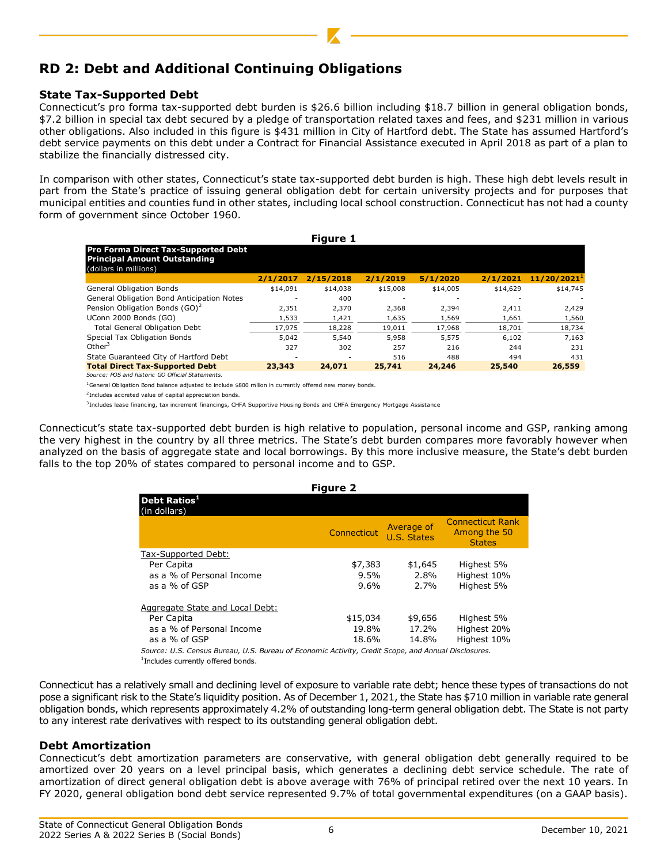# **RD 2: Debt and Additional Continuing Obligations**

## **State Tax-Supported Debt**

Connecticut's pro forma tax-supported debt burden is \$26.6 billion including \$18.7 billion in general obligation bonds, \$7.2 billion in special tax debt secured by a pledge of transportation related taxes and fees, and \$231 million in various other obligations. Also included in this figure is \$431 million in City of Hartford debt. The State has assumed Hartford's debt service payments on this debt under a Contract for Financial Assistance executed in April 2018 as part of a plan to stabilize the financially distressed city.

In comparison with other states, Connecticut's state tax-supported debt burden is high. These high debt levels result in part from the State's practice of issuing general obligation debt for certain university projects and for purposes that municipal entities and counties fund in other states, including local school construction. Connecticut has not had a county form of government since October 1960.

|                                                                                                            |          | <b>Figure 1</b> |          |          |          |                         |
|------------------------------------------------------------------------------------------------------------|----------|-----------------|----------|----------|----------|-------------------------|
| <b>Pro Forma Direct Tax-Supported Debt</b><br><b>Principal Amount Outstanding</b><br>(dollars in millions) |          |                 |          |          |          |                         |
|                                                                                                            | 2/1/2017 | 2/15/2018       | 2/1/2019 | 5/1/2020 | 2/1/2021 | 11/20/2021 <sup>1</sup> |
| General Obligation Bonds                                                                                   | \$14,091 | \$14,038        | \$15,008 | \$14,005 | \$14,629 | \$14,745                |
| General Obligation Bond Anticipation Notes                                                                 |          | 400             |          |          |          |                         |
| Pension Obligation Bonds (GO) <sup>2</sup>                                                                 | 2,351    | 2,370           | 2,368    | 2,394    | 2,411    | 2,429                   |
| UConn 2000 Bonds (GO)                                                                                      | 1,533    | 1,421           | 1,635    | 1,569    | 1,661    | 1,560                   |
| <b>Total General Obligation Debt</b>                                                                       | 17,975   | 18,228          | 19,011   | 17,968   | 18,701   | 18,734                  |
| Special Tax Obligation Bonds                                                                               | 5.042    | 5,540           | 5.958    | 5.575    | 6.102    | 7,163                   |
| Other $3$                                                                                                  | 327      | 302             | 257      | 216      | 244      | 231                     |
| State Guaranteed City of Hartford Debt                                                                     |          |                 | 516      | 488      | 494      | 431                     |
| <b>Total Direct Tax-Supported Debt</b>                                                                     | 23,343   | 24,071          | 25,741   | 24,246   | 25,540   | 26,559                  |
| Source: POS and historic GO Official Statements.                                                           |          |                 |          |          |          |                         |

 $1$ General Obligation Bond balance adjusted to include \$800 million in currently offered new money bonds.

<sup>2</sup> Includes accreted value of capital appreciation bonds.

<sup>3</sup> Includes lease financing, tax increment financings, CHFA Supportive Housing Bonds and CHFA Emergency Mortgage Assistance

Connecticut's state tax-supported debt burden is high relative to population, personal income and GSP, ranking among the very highest in the country by all three metrics. The State's debt burden compares more favorably however when analyzed on the basis of aggregate state and local borrowings. By this more inclusive measure, the State's debt burden falls to the top 20% of states compared to personal income and to GSP.

| <b>Figure 2</b><br>Debt Ratios <sup>1</sup><br>(in dollars)<br>Average of<br>Connecticut<br>U.S. States<br><b>States</b><br>Tax-Supported Debt:<br>Per Capita<br>\$7,383<br>Highest 5%<br>\$1,645<br>as a % of Personal Income<br>Highest 10%<br>9.5%<br>2.8%<br>Highest 5%<br>9.6%<br>as a % of GSP<br>2.7%<br>Aggregate State and Local Debt:<br>Per Capita<br>\$15,034<br>\$9,656<br>Highest 5%<br>as a % of Personal Income<br>Highest 20%<br>19.8%<br>17.2% |       |       |                                         |
|------------------------------------------------------------------------------------------------------------------------------------------------------------------------------------------------------------------------------------------------------------------------------------------------------------------------------------------------------------------------------------------------------------------------------------------------------------------|-------|-------|-----------------------------------------|
|                                                                                                                                                                                                                                                                                                                                                                                                                                                                  |       |       |                                         |
|                                                                                                                                                                                                                                                                                                                                                                                                                                                                  |       |       | <b>Connecticut Rank</b><br>Among the 50 |
|                                                                                                                                                                                                                                                                                                                                                                                                                                                                  |       |       |                                         |
|                                                                                                                                                                                                                                                                                                                                                                                                                                                                  |       |       |                                         |
|                                                                                                                                                                                                                                                                                                                                                                                                                                                                  |       |       |                                         |
|                                                                                                                                                                                                                                                                                                                                                                                                                                                                  |       |       |                                         |
|                                                                                                                                                                                                                                                                                                                                                                                                                                                                  |       |       |                                         |
|                                                                                                                                                                                                                                                                                                                                                                                                                                                                  |       |       |                                         |
|                                                                                                                                                                                                                                                                                                                                                                                                                                                                  |       |       |                                         |
| as a % of GSP                                                                                                                                                                                                                                                                                                                                                                                                                                                    | 18.6% | 14.8% | Highest 10%                             |
| Course: U.S. Consus Russou, U.S. Russou of Economic Activity Crodit Scope, and Annual Disclasures                                                                                                                                                                                                                                                                                                                                                                |       |       |                                         |

*Source: U.S. Census Bureau, U.S. Bureau of Economic Activity, Credit Scope, and Annual Disclosures.* 1 Includes currently offered bonds.

Connecticut has a relatively small and declining level of exposure to variable rate debt; hence these types of transactions do not pose a significant risk to the State's liquidity position. As of December 1, 2021, the State has \$710 million in variable rate general obligation bonds, which represents approximately 4.2% of outstanding long-term general obligation debt. The State is not party to any interest rate derivatives with respect to its outstanding general obligation debt.

## **Debt Amortization**

Connecticut's debt amortization parameters are conservative, with general obligation debt generally required to be amortized over 20 years on a level principal basis, which generates a declining debt service schedule. The rate of amortization of direct general obligation debt is above average with 76% of principal retired over the next 10 years. In FY 2020, general obligation bond debt service represented 9.7% of total governmental expenditures (on a GAAP basis).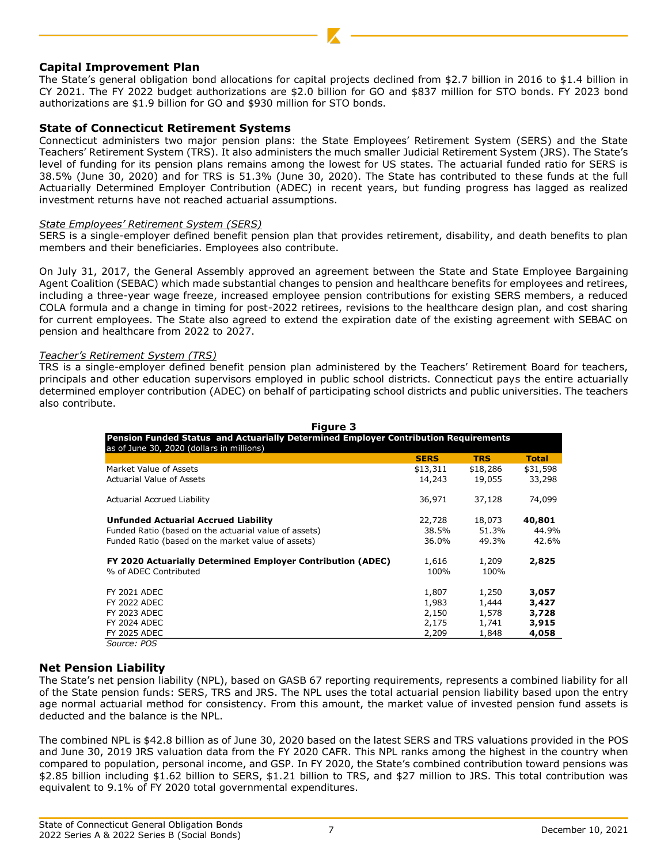## **Capital Improvement Plan**

The State's general obligation bond allocations for capital projects declined from \$2.7 billion in 2016 to \$1.4 billion in CY 2021. The FY 2022 budget authorizations are \$2.0 billion for GO and \$837 million for STO bonds. FY 2023 bond authorizations are \$1.9 billion for GO and \$930 million for STO bonds.

## **State of Connecticut Retirement Systems**

Connecticut administers two major pension plans: the State Employees' Retirement System (SERS) and the State Teachers' Retirement System (TRS). It also administers the much smaller Judicial Retirement System (JRS). The State's level of funding for its pension plans remains among the lowest for US states. The actuarial funded ratio for SERS is 38.5% (June 30, 2020) and for TRS is 51.3% (June 30, 2020). The State has contributed to these funds at the full Actuarially Determined Employer Contribution (ADEC) in recent years, but funding progress has lagged as realized investment returns have not reached actuarial assumptions.

#### *State Employees' Retirement System (SERS)*

SERS is a single-employer defined benefit pension plan that provides retirement, disability, and death benefits to plan members and their beneficiaries. Employees also contribute.

On July 31, 2017, the General Assembly approved an agreement between the State and State Employee Bargaining Agent Coalition (SEBAC) which made substantial changes to pension and healthcare benefits for employees and retirees, including a three-year wage freeze, increased employee pension contributions for existing SERS members, a reduced COLA formula and a change in timing for post-2022 retirees, revisions to the healthcare design plan, and cost sharing for current employees. The State also agreed to extend the expiration date of the existing agreement with SEBAC on pension and healthcare from 2022 to 2027.

#### *Teacher's Retirement System (TRS)*

TRS is a single-employer defined benefit pension plan administered by the Teachers' Retirement Board for teachers, principals and other education supervisors employed in public school districts. Connecticut pays the entire actuarially determined employer contribution (ADEC) on behalf of participating school districts and public universities. The teachers also contribute.

| Figure 3                                                                                                                         |             |            |              |
|----------------------------------------------------------------------------------------------------------------------------------|-------------|------------|--------------|
| Pension Funded Status and Actuarially Determined Employer Contribution Requirements<br>as of June 30, 2020 (dollars in millions) |             |            |              |
|                                                                                                                                  | <b>SERS</b> | <b>TRS</b> | <b>Total</b> |
| Market Value of Assets                                                                                                           | \$13,311    | \$18,286   | \$31,598     |
| <b>Actuarial Value of Assets</b>                                                                                                 | 14,243      | 19,055     | 33,298       |
| Actuarial Accrued Liability                                                                                                      | 36,971      | 37,128     | 74,099       |
| Unfunded Actuarial Accrued Liability                                                                                             | 22,728      | 18,073     | 40,801       |
| Funded Ratio (based on the actuarial value of assets)                                                                            | 38.5%       | 51.3%      | 44.9%        |
| Funded Ratio (based on the market value of assets)                                                                               | 36.0%       | 49.3%      | 42.6%        |
| <b>FY 2020 Actuarially Determined Employer Contribution (ADEC)</b>                                                               | 1,616       | 1,209      | 2,825        |
| % of ADEC Contributed                                                                                                            | 100%        | 100%       |              |
| <b>FY 2021 ADEC</b>                                                                                                              | 1,807       | 1,250      | 3,057        |
| <b>FY 2022 ADEC</b>                                                                                                              | 1,983       | 1,444      | 3,427        |
| <b>FY 2023 ADEC</b>                                                                                                              | 2,150       | 1,578      | 3,728        |
| <b>FY 2024 ADEC</b>                                                                                                              | 2,175       | 1,741      | 3,915        |
| <b>FY 2025 ADEC</b>                                                                                                              | 2,209       | 1,848      | 4,058        |
| Source: POS                                                                                                                      |             |            |              |

## **Net Pension Liability**

The State's net pension liability (NPL), based on GASB 67 reporting requirements, represents a combined liability for all of the State pension funds: SERS, TRS and JRS. The NPL uses the total actuarial pension liability based upon the entry age normal actuarial method for consistency. From this amount, the market value of invested pension fund assets is deducted and the balance is the NPL.

The combined NPL is \$42.8 billion as of June 30, 2020 based on the latest SERS and TRS valuations provided in the POS and June 30, 2019 JRS valuation data from the FY 2020 CAFR. This NPL ranks among the highest in the country when compared to population, personal income, and GSP. In FY 2020, the State's combined contribution toward pensions was \$2.85 billion including \$1.62 billion to SERS, \$1.21 billion to TRS, and \$27 million to JRS. This total contribution was equivalent to 9.1% of FY 2020 total governmental expenditures.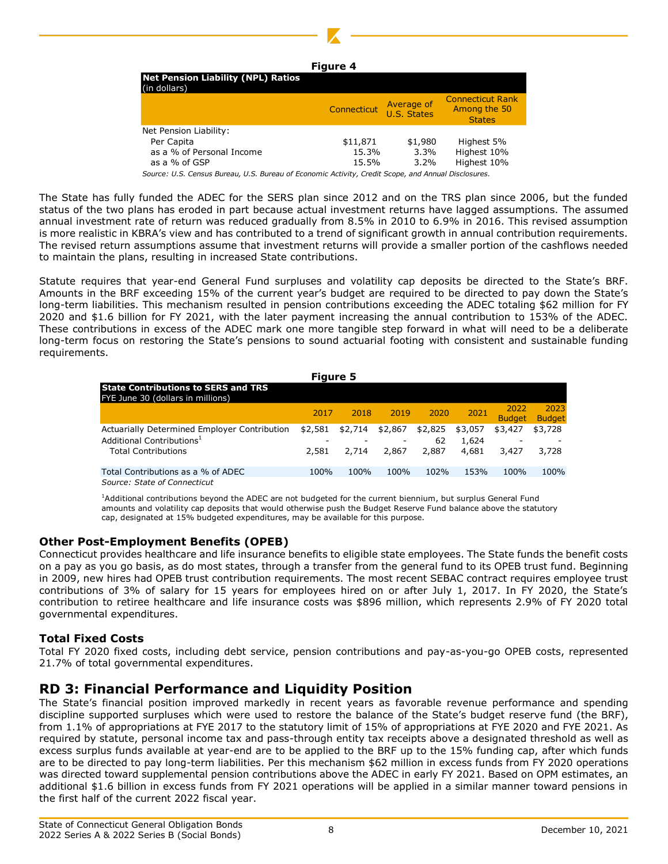

| <b>Net Pension Liability (NPL) Ratios</b><br>(in dollars)                                           | Connecticut | Average of<br>U.S. States | <b>Connecticut Rank</b><br>Among the 50<br><b>States</b> |
|-----------------------------------------------------------------------------------------------------|-------------|---------------------------|----------------------------------------------------------|
| Net Pension Liability:                                                                              |             |                           |                                                          |
| Per Capita                                                                                          | \$11,871    | \$1,980                   | Highest 5%                                               |
| as a % of Personal Income                                                                           | 15.3%       | 3.3%                      | Highest 10%                                              |
| as a % of GSP                                                                                       | 15.5%       | 3.2%                      | Highest 10%                                              |
| Source: U.S. Census Bureau, U.S. Bureau of Economic Activity, Credit Scope, and Annual Disclosures. |             |                           |                                                          |

The State has fully funded the ADEC for the SERS plan since 2012 and on the TRS plan since 2006, but the funded status of the two plans has eroded in part because actual investment returns have lagged assumptions. The assumed annual investment rate of return was reduced gradually from 8.5% in 2010 to 6.9% in 2016. This revised assumption is more realistic in KBRA's view and has contributed to a trend of significant growth in annual contribution requirements. The revised return assumptions assume that investment returns will provide a smaller portion of the cashflows needed to maintain the plans, resulting in increased State contributions.

Statute requires that year-end General Fund surpluses and volatility cap deposits be directed to the State's BRF. Amounts in the BRF exceeding 15% of the current year's budget are required to be directed to pay down the State's long-term liabilities. This mechanism resulted in pension contributions exceeding the ADEC totaling \$62 million for FY 2020 and \$1.6 billion for FY 2021, with the later payment increasing the annual contribution to 153% of the ADEC. These contributions in excess of the ADEC mark one more tangible step forward in what will need to be a deliberate long-term focus on restoring the State's pensions to sound actuarial footing with consistent and sustainable funding requirements.

| <b>Figure 5</b>                                                                 |                          |         |         |         |         |                       |                       |  |  |  |  |  |
|---------------------------------------------------------------------------------|--------------------------|---------|---------|---------|---------|-----------------------|-----------------------|--|--|--|--|--|
| <b>State Contributions to SERS and TRS</b><br>FYE June 30 (dollars in millions) |                          |         |         |         |         |                       |                       |  |  |  |  |  |
|                                                                                 | 2017                     | 2018    | 2019    | 2020    | 2021    | 2022<br><b>Budget</b> | 2023<br><b>Budget</b> |  |  |  |  |  |
| Actuarially Determined Employer Contribution                                    | \$2,581                  | \$2.714 | \$2,867 | \$2,825 | \$3,057 | \$3,427               | \$3,728               |  |  |  |  |  |
| Additional Contributions <sup>1</sup>                                           | $\overline{\phantom{0}}$ |         |         | 62      | 1,624   |                       |                       |  |  |  |  |  |
| <b>Total Contributions</b>                                                      | 2,581                    | 2,714   | 2,867   | 2,887   | 4,681   | 3,427                 | 3,728                 |  |  |  |  |  |
| Total Contributions as a % of ADEC                                              | 100%                     | 100%    | 100%    | 102%    | 153%    | 100%                  | 100%                  |  |  |  |  |  |
| Source: State of Connecticut                                                    |                          |         |         |         |         |                       |                       |  |  |  |  |  |

<sup>1</sup>Additional contributions beyond the ADEC are not budgeted for the current biennium, but surplus General Fund amounts and volatility cap deposits that would otherwise push the Budget Reserve Fund balance above the statutory cap, designated at 15% budgeted expenditures, may be available for this purpose.

## **Other Post-Employment Benefits (OPEB)**

Connecticut provides healthcare and life insurance benefits to eligible state employees. The State funds the benefit costs on a pay as you go basis, as do most states, through a transfer from the general fund to its OPEB trust fund. Beginning in 2009, new hires had OPEB trust contribution requirements. The most recent SEBAC contract requires employee trust contributions of 3% of salary for 15 years for employees hired on or after July 1, 2017. In FY 2020, the State's contribution to retiree healthcare and life insurance costs was \$896 million, which represents 2.9% of FY 2020 total governmental expenditures.

## **Total Fixed Costs**

Total FY 2020 fixed costs, including debt service, pension contributions and pay-as-you-go OPEB costs, represented 21.7% of total governmental expenditures.

# **RD 3: Financial Performance and Liquidity Position**

The State's financial position improved markedly in recent years as favorable revenue performance and spending discipline supported surpluses which were used to restore the balance of the State's budget reserve fund (the BRF), from 1.1% of appropriations at FYE 2017 to the statutory limit of 15% of appropriations at FYE 2020 and FYE 2021. As required by statute, personal income tax and pass-through entity tax receipts above a designated threshold as well as excess surplus funds available at year-end are to be applied to the BRF up to the 15% funding cap, after which funds are to be directed to pay long-term liabilities. Per this mechanism \$62 million in excess funds from FY 2020 operations was directed toward supplemental pension contributions above the ADEC in early FY 2021. Based on OPM estimates, an additional \$1.6 billion in excess funds from FY 2021 operations will be applied in a similar manner toward pensions in the first half of the current 2022 fiscal year.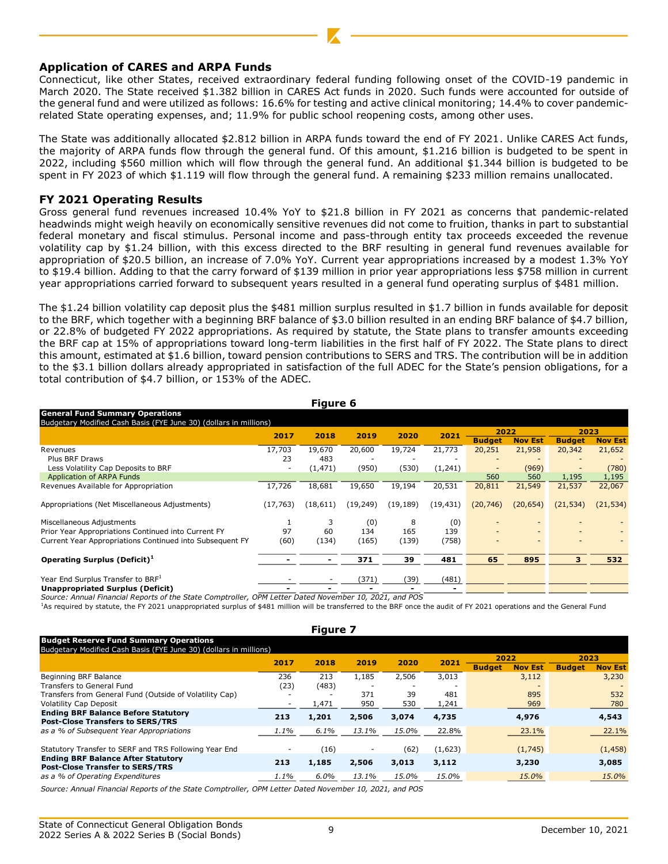#### **Application of CARES and ARPA Funds**

Connecticut, like other States, received extraordinary federal funding following onset of the COVID-19 pandemic in March 2020. The State received \$1.382 billion in CARES Act funds in 2020. Such funds were accounted for outside of the general fund and were utilized as follows: 16.6% for testing and active clinical monitoring; 14.4% to cover pandemicrelated State operating expenses, and; 11.9% for public school reopening costs, among other uses.

The State was additionally allocated \$2.812 billion in ARPA funds toward the end of FY 2021. Unlike CARES Act funds, the majority of ARPA funds flow through the general fund. Of this amount, \$1.216 billion is budgeted to be spent in 2022, including \$560 million which will flow through the general fund. An additional \$1.344 billion is budgeted to be spent in FY 2023 of which \$1.119 will flow through the general fund. A remaining \$233 million remains unallocated.

#### **FY 2021 Operating Results**

Gross general fund revenues increased 10.4% YoY to \$21.8 billion in FY 2021 as concerns that pandemic-related headwinds might weigh heavily on economically sensitive revenues did not come to fruition, thanks in part to substantial federal monetary and fiscal stimulus. Personal income and pass-through entity tax proceeds exceeded the revenue volatility cap by \$1.24 billion, with this excess directed to the BRF resulting in general fund revenues available for appropriation of \$20.5 billion, an increase of 7.0% YoY. Current year appropriations increased by a modest 1.3% YoY to \$19.4 billion. Adding to that the carry forward of \$139 million in prior year appropriations less \$758 million in current year appropriations carried forward to subsequent years resulted in a general fund operating surplus of \$481 million.

The \$1.24 billion volatility cap deposit plus the \$481 million surplus resulted in \$1.7 billion in funds available for deposit to the BRF, which together with a beginning BRF balance of \$3.0 billion resulted in an ending BRF balance of \$4.7 billion, or 22.8% of budgeted FY 2022 appropriations. As required by statute, the State plans to transfer amounts exceeding the BRF cap at 15% of appropriations toward long-term liabilities in the first half of FY 2022. The State plans to direct this amount, estimated at \$1.6 billion, toward pension contributions to SERS and TRS. The contribution will be in addition to the \$3.1 billion dollars already appropriated in satisfaction of the full ADEC for the State's pension obligations, for a total contribution of \$4.7 billion, or 153% of the ADEC.

| <b>General Fund Summary Operations</b>                            |           |           |              |                          |           |               |                |                          |                |  |  |  |
|-------------------------------------------------------------------|-----------|-----------|--------------|--------------------------|-----------|---------------|----------------|--------------------------|----------------|--|--|--|
| Budgetary Modified Cash Basis (FYE June 30) (dollars in millions) |           |           |              |                          |           |               |                |                          |                |  |  |  |
|                                                                   | 2017      | 2018      | 2019<br>2020 | 2021                     | 2022      |               | 2023           |                          |                |  |  |  |
|                                                                   |           |           |              |                          |           | <b>Budget</b> | <b>Nov Est</b> | <b>Budget</b>            | <b>Nov Est</b> |  |  |  |
| Revenues                                                          | 17,703    | 19,670    | 20,600       | 19,724                   | 21,773    | 20,251        | 21,958         | 20,342                   | 21,652         |  |  |  |
| Plus BRF Draws                                                    | 23        | 483       | -            | $\overline{\phantom{0}}$ |           |               |                | ۰                        |                |  |  |  |
| Less Volatility Cap Deposits to BRF                               |           | (1, 471)  | (950)        | (530)                    | (1,241)   |               | (969)          | $\overline{\phantom{a}}$ | (780)          |  |  |  |
| Application of ARPA Funds                                         |           |           |              |                          |           | 560           | 560            | 1,195                    | 1,195          |  |  |  |
| Revenues Available for Appropriation                              | 17,726    | 18,681    | 19,650       | 19,194                   | 20,531    | 20,811        | 21,549         | 21,537                   | 22,067         |  |  |  |
| Appropriations (Net Miscellaneous Adjustments)                    | (17, 763) | (18, 611) | (19, 249)    | (19, 189)                | (19, 431) | (20, 746)     | (20, 654)      | (21, 534)                | (21, 534)      |  |  |  |
| Miscellaneous Adjustments                                         |           |           | (0)          | 8                        | (0)       |               |                |                          |                |  |  |  |
| Prior Year Appropriations Continued into Current FY               | 97        | 60        | 134          | 165                      | 139       |               |                | $\overline{\phantom{0}}$ |                |  |  |  |
| Current Year Appropriations Continued into Subsequent FY          | (60)      | (134)     | (165)        | (139)                    | (758)     |               |                |                          |                |  |  |  |
| Operating Surplus (Deficit) <sup>1</sup>                          |           |           | 371          | 39                       | 481       | 65            | 895            | 3                        | 532            |  |  |  |
|                                                                   |           |           |              |                          |           |               |                |                          |                |  |  |  |
| Year End Surplus Transfer to BRF <sup>1</sup>                     |           |           | (371)        | (39)                     | (481)     |               |                |                          |                |  |  |  |
| <b>Unappropriated Surplus (Deficit)</b>                           |           |           |              |                          |           |               |                |                          |                |  |  |  |

**Figure 6**

*Source: Annual Financial Reports of the State Comptroller, OPM Letter Dated November 10, 2021, and POS*

1As required by statute, the FY 2021 unappropriated surplus of \$481 million will be transferred to the BRF once the audit of FY 2021 operations and the General Fund

| <b>Figure 7</b>                                                                                                    |      |         |       |       |         |                                 |                                 |  |  |  |  |  |
|--------------------------------------------------------------------------------------------------------------------|------|---------|-------|-------|---------|---------------------------------|---------------------------------|--|--|--|--|--|
| <b>Budget Reserve Fund Summary Operations</b><br>Budgetary Modified Cash Basis (FYE June 30) (dollars in millions) |      |         |       |       |         |                                 |                                 |  |  |  |  |  |
|                                                                                                                    | 2017 | 2018    | 2019  | 2020  | 2021    | 2022                            | 2023                            |  |  |  |  |  |
|                                                                                                                    |      |         |       |       |         | <b>Nov Est</b><br><b>Budget</b> | <b>Budget</b><br><b>Nov Est</b> |  |  |  |  |  |
| Beginning BRF Balance                                                                                              | 236  | 213     | 1,185 | 2,506 | 3,013   | 3,112                           | 3,230                           |  |  |  |  |  |
| Transfers to General Fund                                                                                          | (23) | (483)   |       |       |         |                                 |                                 |  |  |  |  |  |
| Transfers from General Fund (Outside of Volatility Cap)                                                            |      |         | 371   | 39    | 481     | 895                             | 532                             |  |  |  |  |  |
| <b>Volatility Cap Deposit</b>                                                                                      |      | 1,471   | 950   | 530   | 1,241   | 969                             | 780                             |  |  |  |  |  |
| <b>Ending BRF Balance Before Statutory</b>                                                                         | 213  | 1,201   | 2,506 | 3,074 | 4,735   | 4,976                           | 4,543                           |  |  |  |  |  |
| <b>Post-Close Transfers to SERS/TRS</b>                                                                            |      |         |       |       |         |                                 |                                 |  |  |  |  |  |
| as a % of Subsequent Year Appropriations                                                                           | 1.1% | 6.1%    | 13.1% | 15.0% | 22.8%   | 23.1%                           | 22.1%                           |  |  |  |  |  |
| Statutory Transfer to SERF and TRS Following Year End                                                              |      | (16)    |       | (62)  | (1,623) | (1,745)                         | (1, 458)                        |  |  |  |  |  |
| <b>Ending BRF Balance After Statutory</b><br><b>Post-Close Transfer to SERS/TRS</b>                                | 213  | 1,185   | 2,506 | 3,013 | 3,112   | 3,230                           | 3,085                           |  |  |  |  |  |
| as a % of Operating Expenditures                                                                                   | 1.1% | $6.0\%$ | 13.1% | 15.0% | 15.0%   | 15.0%                           | 15.0%                           |  |  |  |  |  |

*Source: Annual Financial Reports of the State Comptroller, OPM Letter Dated November 10, 2021, and POS*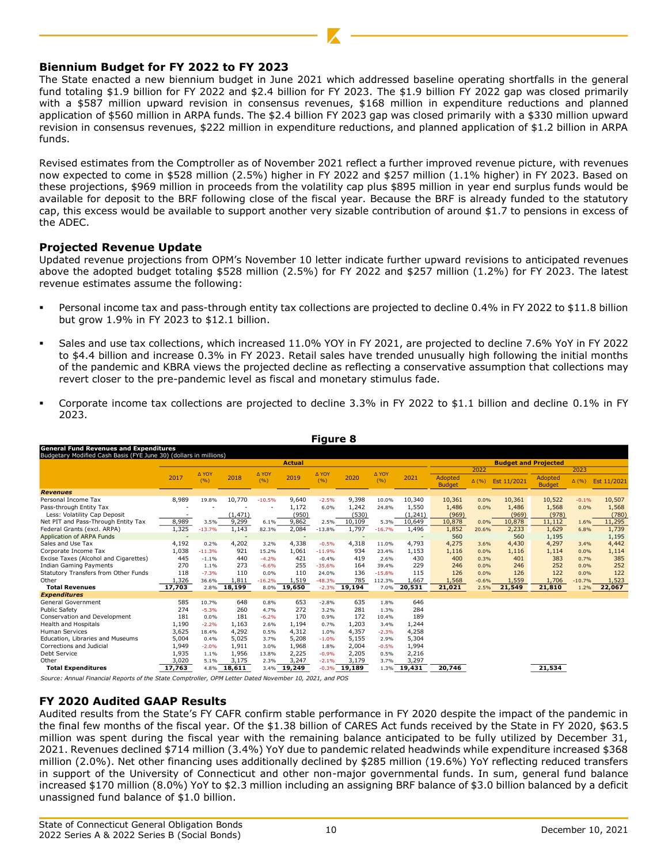## **Biennium Budget for FY 2022 to FY 2023**

The State enacted a new biennium budget in June 2021 which addressed baseline operating shortfalls in the general fund totaling \$1.9 billion for FY 2022 and \$2.4 billion for FY 2023. The \$1.9 billion FY 2022 gap was closed primarily with a \$587 million upward revision in consensus revenues, \$168 million in expenditure reductions and planned application of \$560 million in ARPA funds. The \$2.4 billion FY 2023 gap was closed primarily with a \$330 million upward revision in consensus revenues, \$222 million in expenditure reductions, and planned application of \$1.2 billion in ARPA funds.

Revised estimates from the Comptroller as of November 2021 reflect a further improved revenue picture, with revenues now expected to come in \$528 million (2.5%) higher in FY 2022 and \$257 million (1.1% higher) in FY 2023. Based on these projections, \$969 million in proceeds from the volatility cap plus \$895 million in year end surplus funds would be available for deposit to the BRF following close of the fiscal year. Because the BRF is already funded to the statutory cap, this excess would be available to support another very sizable contribution of around \$1.7 to pensions in excess of the ADEC.

## **Projected Revenue Update**

Updated revenue projections from OPM's November 10 letter indicate further upward revisions to anticipated revenues above the adopted budget totaling \$528 million (2.5%) for FY 2022 and \$257 million (1.2%) for FY 2023. The latest revenue estimates assume the following:

- Personal income tax and pass-through entity tax collections are projected to decline 0.4% in FY 2022 to \$11.8 billion but grow 1.9% in FY 2023 to \$12.1 billion.
- Sales and use tax collections, which increased 11.0% YOY in FY 2021, are projected to decline 7.6% YoY in FY 2022 to \$4.4 billion and increase 0.3% in FY 2023. Retail sales have trended unusually high following the initial months of the pandemic and KBRA views the projected decline as reflecting a conservative assumption that collections may revert closer to the pre-pandemic level as fiscal and monetary stimulus fade.
- Corporate income tax collections are projected to decline 3.3% in FY 2022 to \$1.1 billion and decline 0.1% in FY 2023.

**Figure 8**

|                                                                                                                               |        |                  |             |               |               | .                   |                 |                |              |                          |              |                             |                          |              |                |
|-------------------------------------------------------------------------------------------------------------------------------|--------|------------------|-------------|---------------|---------------|---------------------|-----------------|----------------|--------------|--------------------------|--------------|-----------------------------|--------------------------|--------------|----------------|
| <b>General Fund Revenues and Expenditures</b><br>Budgetary Modified Cash Basis (FYE June 30) (dollars in millions)            |        |                  |             |               |               |                     |                 |                |              |                          |              |                             |                          |              |                |
|                                                                                                                               |        |                  |             |               | <b>Actual</b> |                     |                 |                |              |                          |              | <b>Budget and Projected</b> |                          |              |                |
|                                                                                                                               |        |                  |             |               |               |                     |                 |                |              |                          | 2022         |                             |                          | 2023         |                |
|                                                                                                                               | 2017   | A YOY<br>(%)     | 2018        | A YOY<br>(%)  | 2019          | A YOY<br>(9/6)      | 2020            | A YOY<br>(%)   | 2021         | Adopted<br><b>Budget</b> | $\Delta$ (%) | Est 11/2021                 | Adopted<br><b>Budget</b> | $\Delta$ (%) | Est 11/2021    |
| <b>Revenues</b>                                                                                                               |        |                  |             |               |               |                     |                 |                |              |                          |              |                             |                          |              |                |
| Personal Income Tax                                                                                                           | 8,989  | 19.8%            | 10,770      | $-10.5%$      | 9,640         | $-2.5%$             | 9,398           | 10.0%          | 10,340       | 10,361                   | 0.0%         | 10,361                      | 10,522                   | $-0.1%$      | 10,507         |
| Pass-through Entity Tax                                                                                                       |        |                  |             |               | 1,172         | 6.0%                | 1,242           | 24.8%          | 1,550        | 1,486                    | 0.0%         | 1,486                       | 1,568                    | 0.0%         | 1,568          |
| Less: Volatility Cap Deposit                                                                                                  |        |                  | (1, 471)    |               | (950)         |                     | (530)           |                | (1, 241)     | (969)                    |              | (969)                       | (978)                    |              | (780)          |
| Net PIT and Pass-Through Entity Tax                                                                                           | 8,989  | 3.5%             | 9,299       | 6.1%          | 9,862         | 2.5%                | 10,109          | 5.3%           | 10,649       | 10,878                   | 0.0%         | 10,878                      | 11,112                   | 1.6%         | 11,295         |
| Federal Grants (excl. ARPA)                                                                                                   | 1,325  | $-13.7%$         | 1,143       | 82.3%         | 2,084         | $-13.8%$            | 1,797           | $-16.7%$       | 1,496        | 1,852                    | 20.6%        | 2,233                       | 1,629                    | 6.8%         | 1,739          |
| Application of ARPA Funds                                                                                                     | 4,192  |                  | 4,202       |               | 4,338         |                     | 4,318           |                | 4,793        | 560<br>4,275             |              | 560                         | 1,195                    |              | 1,195<br>4,442 |
| Sales and Use Tax<br>Corporate Income Tax                                                                                     | 1,038  | 0.2%<br>$-11.3%$ | 921         | 3.2%<br>15.2% | 1,061         | $-0.5%$<br>$-11.9%$ | 934             | 11.0%<br>23.4% |              |                          | 3.6%         | 4,430                       | 4,297                    | 3.4%         |                |
| Excise Taxes (Alcohol and Cigarettes)                                                                                         | 445    | $-1.1%$          | 440         | $-4.2%$       | 421           | $-0.4%$             | 419             | 2.6%           | 1,153<br>430 | 1,116<br>400             | 0.0%<br>0.3% | 1,116<br>401                | 1,114<br>383             | 0.0%<br>0.7% | 1,114<br>385   |
| <b>Indian Gaming Payments</b>                                                                                                 | 270    | 1.1%             | 273         | $-6.6%$       | 255           | $-35.6%$            | 164             | 39.4%          | 229          | 246                      | 0.0%         | 246                         | 252                      | 0.0%         | 252            |
| Statutory Transfers from Other Funds                                                                                          | 118    | $-7.3%$          | 110         | 0.0%          | 110           | 24.0%               | 136             | $-15.8%$       | 115          | 126                      | 0.0%         | 126                         | 122                      | 0.0%         | 122            |
| Other                                                                                                                         | 1,326  | 36.6%            | 1,811       | $-16.2%$      | 1,519         | $-48.3%$            | 785             | 112.3%         | 1.667        | 1,568                    | $-0.6%$      | 1,559                       | 1,706                    | $-10.7%$     | 1,523          |
| <b>Total Revenues</b>                                                                                                         | 17,703 |                  | 2.8% 18,199 |               | 8.0% 19,650   |                     | $-2.3\%$ 19,194 |                | 7.0% 20,531  | 21,021                   | 2.5%         | 21,549                      | 21,810                   | 1.2%         | 22,067         |
| <b>Expenditures</b>                                                                                                           |        |                  |             |               |               |                     |                 |                |              |                          |              |                             |                          |              |                |
| General Government                                                                                                            | 585    | 10.7%            | 648         | 0.8%          | 653           | $-2.8%$             | 635             | 1.8%           | 646          |                          |              |                             |                          |              |                |
| <b>Public Safety</b>                                                                                                          | 274    | $-5.3%$          | 260         | 4.7%          | 272           | 3.2%                | 281             | 1.3%           | 284          |                          |              |                             |                          |              |                |
| Conservation and Development                                                                                                  | 181    | 0.0%             | 181         | $-6.2%$       | 170           | 0.9%                | 172             | 10.4%          | 189          |                          |              |                             |                          |              |                |
| <b>Health and Hospitals</b>                                                                                                   | 1,190  | $-2.2%$          | 1,163       | 2.6%          | 1,194         | 0.7%                | 1,203           | 3.4%           | 1,244        |                          |              |                             |                          |              |                |
| <b>Human Services</b>                                                                                                         | 3,625  | 18.4%            | 4,292       | 0.5%          | 4,312         | 1.0%                | 4,357           | $-2.3%$        | 4,258        |                          |              |                             |                          |              |                |
| Education, Libraries and Museums                                                                                              | 5,004  | 0.4%             | 5,025       | 3.7%          | 5,208         | $-1.0%$             | 5,155           | 2.9%           | 5,304        |                          |              |                             |                          |              |                |
| Corrections and Judicial                                                                                                      | 1,949  | $-2.0%$          | 1,911       | 3.0%          | 1,968         | 1.8%                | 2,004           | $-0.5%$        | 1,994        |                          |              |                             |                          |              |                |
| Debt Service                                                                                                                  | 1,935  | 1.1%             | 1,956       | 13.8%         | 2,225         | $-0.9%$             | 2,205           | 0.5%           | 2,216        |                          |              |                             |                          |              |                |
| Other                                                                                                                         | 3,020  | 5.1%             | 3,175       | 2.3%          | 3,247         | $-2.1%$             | 3,179           | 3.7%           | 3,297        |                          |              |                             |                          |              |                |
| <b>Total Expenditures</b>                                                                                                     | 17,763 |                  | 4.8% 18,611 | 3.4%          | 19,249        |                     | $-0.3\%$ 19,189 | 1.3%           | 19,431       | 20,746                   |              |                             | 21,534                   |              |                |
| Source: Annual Financial Reports of the State Comptroller, OPM Letter Dated November 10, 2021, and POS                        |        |                  |             |               |               |                     |                 |                |              |                          |              |                             |                          |              |                |
| <b>FY 2020 Audited GAAP Results</b>                                                                                           |        |                  |             |               |               |                     |                 |                |              |                          |              |                             |                          |              |                |
| Audited results from the State's FY CAFR confirm stable performance in FY 2020 despite the impact of the pandemic in          |        |                  |             |               |               |                     |                 |                |              |                          |              |                             |                          |              |                |
| the final few months of the fiscal year. Of the \$1.38 billion of CARES Act funds received by the State in FY 2020, \$63.5    |        |                  |             |               |               |                     |                 |                |              |                          |              |                             |                          |              |                |
|                                                                                                                               |        |                  |             |               |               |                     |                 |                |              |                          |              |                             |                          |              |                |
| million was spent during the fiscal year with the remaining balance anticipated to be fully utilized by December 31,          |        |                  |             |               |               |                     |                 |                |              |                          |              |                             |                          |              |                |
| 2021. Revenues declined \$714 million (3.4%) YoY due to pandemic related headwinds while expenditure increased \$368          |        |                  |             |               |               |                     |                 |                |              |                          |              |                             |                          |              |                |
|                                                                                                                               |        |                  |             |               |               |                     |                 |                |              |                          |              |                             |                          |              |                |
| million (2.0%). Net other financing uses additionally declined by \$285 million (19.6%) YoY reflecting reduced transfers      |        |                  |             |               |               |                     |                 |                |              |                          |              |                             |                          |              |                |
|                                                                                                                               |        |                  |             |               |               |                     |                 |                |              |                          |              |                             |                          |              |                |
| in support of the University of Connecticut and other non-major governmental funds. In sum, general fund balance              |        |                  |             |               |               |                     |                 |                |              |                          |              |                             |                          |              |                |
| increased \$170 million (8.0%) YoY to \$2.3 million including an assigning BRF balance of \$3.0 billion balanced by a deficit |        |                  |             |               |               |                     |                 |                |              |                          |              |                             |                          |              |                |
| unassigned fund balance of \$1.0 billion.                                                                                     |        |                  |             |               |               |                     |                 |                |              |                          |              |                             |                          |              |                |
|                                                                                                                               |        |                  |             |               |               |                     |                 |                |              |                          |              |                             |                          |              |                |

## **FY 2020 Audited GAAP Results**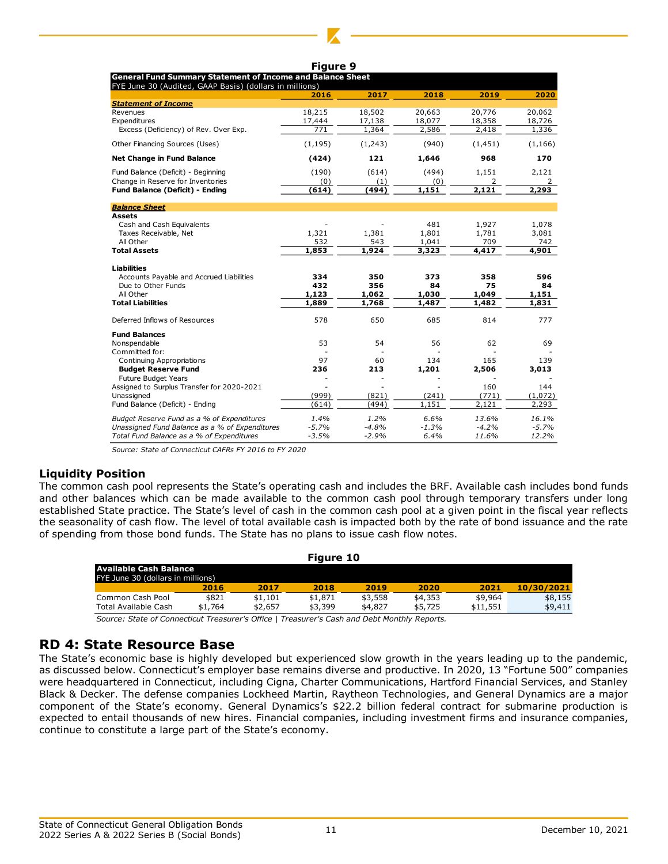| laur |
|------|
|------|

|                                                                                                                              | . 1941 <del>-</del> 2 |         |         |          |          |
|------------------------------------------------------------------------------------------------------------------------------|-----------------------|---------|---------|----------|----------|
| <b>General Fund Summary Statement of Income and Balance Sheet</b><br>FYE June 30 (Audited, GAAP Basis) (dollars in millions) |                       |         |         |          |          |
|                                                                                                                              | 2016                  | 2017    | 2018    | 2019     | 2020     |
| <b>Statement of Income</b>                                                                                                   |                       |         |         |          |          |
| Revenues                                                                                                                     | 18,215                | 18,502  | 20,663  | 20,776   | 20,062   |
| Expenditures                                                                                                                 | 17,444                | 17,138  | 18,077  | 18,358   | 18,726   |
| Excess (Deficiency) of Rev. Over Exp.                                                                                        | 771                   | 1,364   | 2,586   | 2,418    | 1,336    |
| Other Financing Sources (Uses)                                                                                               | (1, 195)              | (1,243) | (940)   | (1, 451) | (1, 166) |
| <b>Net Change in Fund Balance</b>                                                                                            | (424)                 | 121     | 1,646   | 968      | 170      |
| Fund Balance (Deficit) - Beginning                                                                                           | (190)                 | (614)   | (494)   | 1,151    | 2,121    |
| Change in Reserve for Inventories                                                                                            | (0)                   | (1)     | (0)     | 2        | 2        |
| <b>Fund Balance (Deficit) - Ending</b>                                                                                       | (614)                 | (494)   | 1.151   | 2.121    | 2,293    |
| <b>Balance Sheet</b>                                                                                                         |                       |         |         |          |          |
| Assets                                                                                                                       |                       |         |         |          |          |
| Cash and Cash Equivalents                                                                                                    |                       |         | 481     | 1,927    | 1,078    |
| Taxes Receivable, Net                                                                                                        | 1,321                 | 1,381   | 1,801   | 1,781    | 3,081    |
| All Other                                                                                                                    | 532                   | 543     | 1,041   | 709      | 742      |
| <b>Total Assets</b>                                                                                                          | 1,853                 | 1,924   | 3,323   | 4,417    | 4,901    |
| <b>Liabilities</b>                                                                                                           |                       |         |         |          |          |
| Accounts Payable and Accrued Liabilities                                                                                     | 334                   | 350     | 373     | 358      | 596      |
| Due to Other Funds                                                                                                           | 432                   | 356     | 84      | 75       | 84       |
| All Other                                                                                                                    | 1,123                 | 1,062   | 1,030   | 1,049    | 1,151    |
| <b>Total Liabilities</b>                                                                                                     | 1,889                 | 1,768   | 1,487   | 1,482    | 1,831    |
| Deferred Inflows of Resources                                                                                                | 578                   | 650     | 685     | 814      | 777      |
| <b>Fund Balances</b>                                                                                                         |                       |         |         |          |          |
| Nonspendable                                                                                                                 | 53                    | 54      | 56      | 62       | 69       |
| Committed for:                                                                                                               |                       |         |         |          |          |
| Continuing Appropriations                                                                                                    | 97                    | 60      | 134     | 165      | 139      |
| <b>Budget Reserve Fund</b>                                                                                                   | 236                   | 213     | 1,201   | 2,506    | 3,013    |
| <b>Future Budget Years</b>                                                                                                   |                       |         |         |          |          |
| Assigned to Surplus Transfer for 2020-2021                                                                                   |                       |         |         | 160      | 144      |
| Unassigned                                                                                                                   | (999)                 | (821)   | (241)   | (771)    | (1,072)  |
| Fund Balance (Deficit) - Ending                                                                                              | (614)                 | (494)   | 1,151   | 2,121    | 2,293    |
| Budget Reserve Fund as a % of Expenditures                                                                                   | 1.4%                  | 1.2%    | 6.6%    | 13.6%    | 16.1%    |
| Unassigned Fund Balance as a % of Expenditures                                                                               | $-5.7%$               | $-4.8%$ | $-1.3%$ | $-4.2%$  | $-5.7%$  |
| Total Fund Balance as a % of Expenditures                                                                                    | $-3.5%$               | $-2.9%$ | 6.4%    | 11.6%    | 12.2%    |

*Source: State of Connecticut CAFRs FY 2016 to FY 2020*

## **Liquidity Position**

The common cash pool represents the State's operating cash and includes the BRF. Available cash includes bond funds and other balances which can be made available to the common cash pool through temporary transfers under long established State practice. The State's level of cash in the common cash pool at a given point in the fiscal year reflects the seasonality of cash flow. The level of total available cash is impacted both by the rate of bond issuance and the rate of spending from those bond funds. The State has no plans to issue cash flow notes.

| Figure 10                         |         |         |         |         |         |          |            |
|-----------------------------------|---------|---------|---------|---------|---------|----------|------------|
| Available Cash Balance            |         |         |         |         |         |          |            |
| FYE June 30 (dollars in millions) |         |         |         |         |         |          |            |
|                                   | 2016    | 2017    | 2018    | 2019    | 2020    | 2021     | 10/30/2021 |
| Common Cash Pool                  | \$821   | \$1.101 | \$1,871 | \$3,558 | \$4,353 | \$9,964  | \$8.155    |
| Total Available Cash              | \$1,764 | \$2,657 | \$3,399 | \$4,827 | \$5,725 | \$11,551 | \$9.411    |
|                                   |         |         |         |         |         |          |            |

*Source: State of Connecticut Treasurer's Office | Treasurer's Cash and Debt Monthly Reports.*

## **RD 4: State Resource Base**

The State's economic base is highly developed but experienced slow growth in the years leading up to the pandemic, as discussed below. Connecticut's employer base remains diverse and productive. In 2020, 13 "Fortune 500" companies were headquartered in Connecticut, including Cigna, Charter Communications, Hartford Financial Services, and Stanley Black & Decker. The defense companies Lockheed Martin, Raytheon Technologies, and General Dynamics are a major component of the State's economy. General Dynamics's \$22.2 billion federal contract for submarine production is expected to entail thousands of new hires. Financial companies, including investment firms and insurance companies, continue to constitute a large part of the State's economy.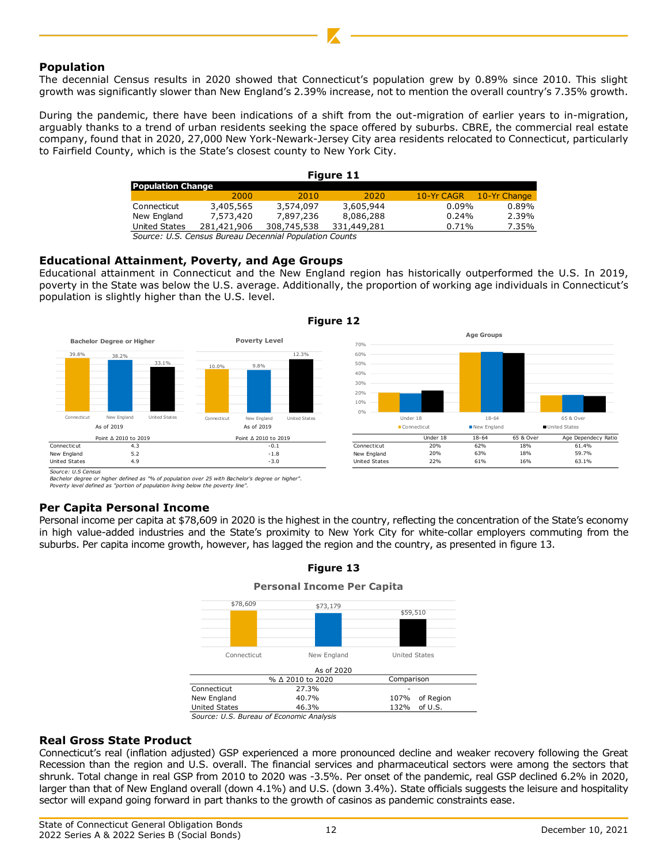## **Population**

The decennial Census results in 2020 showed that Connecticut's population grew by 0.89% since 2010. This slight growth was significantly slower than New England's 2.39% increase, not to mention the overall country's 7.35% growth.

During the pandemic, there have been indications of a shift from the out-migration of earlier years to in-migration, arguably thanks to a trend of urban residents seeking the space offered by suburbs. CBRE, the commercial real estate company, found that in 2020, 27,000 New York-Newark-Jersey City area residents relocated to Connecticut, particularly to Fairfield County, which is the State's closest county to New York City.

| Figure 11                                              |             |             |             |            |              |  |
|--------------------------------------------------------|-------------|-------------|-------------|------------|--------------|--|
| <b>Population Change</b>                               |             |             |             |            |              |  |
|                                                        | 2000        | 2010        | 2020        | 10-Yr CAGR | 10-Yr Change |  |
| Connecticut                                            | 3,405,565   | 3,574,097   | 3,605,944   | 0.09%      | 0.89%        |  |
| New England                                            | 7,573,420   | 7,897,236   | 8,086,288   | 0.24%      | 2.39%        |  |
| United States                                          | 281,421,906 | 308,745,538 | 331,449,281 | 0.71%      | 7.35%        |  |
| Course LLC, Canaus Bursau Desannial Depulstion Counter |             |             |             |            |              |  |

*Source: U.S. Census Bureau Decennial Population Counts*

## **Educational Attainment, Poverty, and Age Groups**

Educational attainment in Connecticut and the New England region has historically outperformed the U.S. In 2019, poverty in the State was below the U.S. average. Additionally, the proportion of working age individuals in Connecticut's population is slightly higher than the U.S. level.

**Figure 12**



*Source: U.S Census*

*Bachelor degree or higher defined as "% of population over 25 with Bachelor's degree or higher". Poverty level defined as "portion of population living below the poverty line".*

## **Per Capita Personal Income**

Personal income per capita at \$78,609 in 2020 is the highest in the country, reflecting the concentration of the State's economy in high value-added industries and the State's proximity to New York City for white-collar employers commuting from the suburbs. Per capita income growth, however, has lagged the region and the country, as presented in figure 13.



## **Figure 13**

## **Real Gross State Product**

Connecticut's real (inflation adjusted) GSP experienced a more pronounced decline and weaker recovery following the Great Recession than the region and U.S. overall. The financial services and pharmaceutical sectors were among the sectors that shrunk. Total change in real GSP from 2010 to 2020 was -3.5%. Per onset of the pandemic, real GSP declined 6.2% in 2020, larger than that of New England overall (down 4.1%) and U.S. (down 3.4%). State officials suggests the leisure and hospitality sector will expand going forward in part thanks to the growth of casinos as pandemic constraints ease.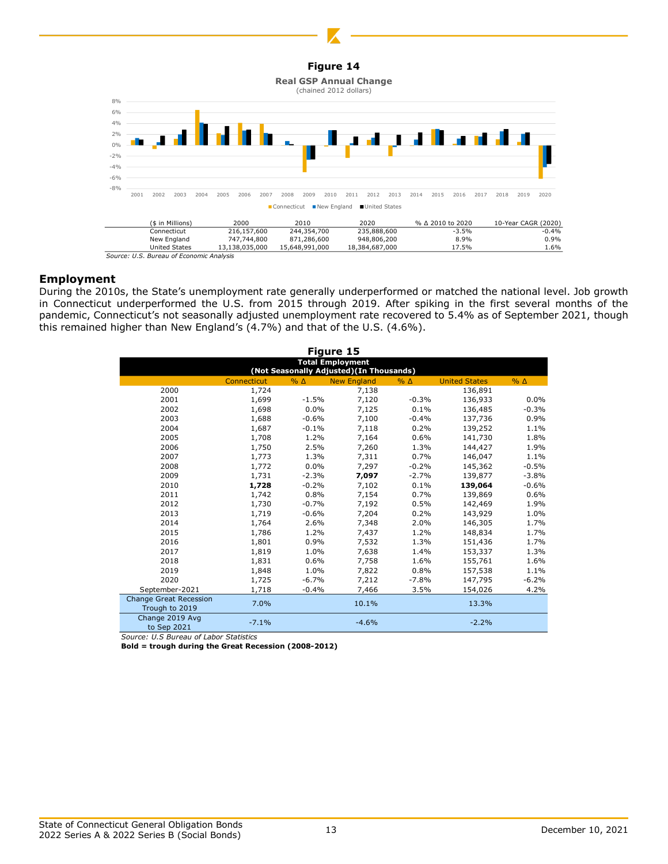



## **Employment**

During the 2010s, the State's unemployment rate generally underperformed or matched the national level. Job growth in Connecticut underperformed the U.S. from 2015 through 2019. After spiking in the first several months of the pandemic, Connecticut's not seasonally adjusted unemployment rate recovered to 5.4% as of September 2021, though this remained higher than New England's (4.7%) and that of the U.S. (4.6%).

| Figure 15                                       |             |              |                    |            |                      |            |  |  |
|-------------------------------------------------|-------------|--------------|--------------------|------------|----------------------|------------|--|--|
| <b>Total Employment</b>                         |             |              |                    |            |                      |            |  |  |
| (Not Seasonally Adjusted) (In Thousands)        |             |              |                    |            |                      |            |  |  |
|                                                 | Connecticut | $%$ $\Delta$ | <b>New England</b> | $% \Delta$ | <b>United States</b> | $% \Delta$ |  |  |
| 2000                                            | 1,724       |              | 7,138              |            | 136,891              |            |  |  |
| 2001                                            | 1,699       | $-1.5%$      | 7,120              | $-0.3%$    | 136,933              | 0.0%       |  |  |
| 2002                                            | 1,698       | 0.0%         | 7,125              | 0.1%       | 136,485              | $-0.3%$    |  |  |
| 2003                                            | 1,688       | $-0.6%$      | 7,100              | $-0.4%$    | 137,736              | 0.9%       |  |  |
| 2004                                            | 1,687       | $-0.1%$      | 7,118              | 0.2%       | 139,252              | 1.1%       |  |  |
| 2005                                            | 1,708       | 1.2%         | 7,164              | 0.6%       | 141,730              | 1.8%       |  |  |
| 2006                                            | 1,750       | 2.5%         | 7,260              | 1.3%       | 144,427              | 1.9%       |  |  |
| 2007                                            | 1,773       | 1.3%         | 7,311              | 0.7%       | 146,047              | 1.1%       |  |  |
| 2008                                            | 1,772       | 0.0%         | 7,297              | $-0.2%$    | 145,362              | $-0.5%$    |  |  |
| 2009                                            | 1,731       | $-2.3%$      | 7,097              | $-2.7%$    | 139,877              | $-3.8%$    |  |  |
| 2010                                            | 1,728       | $-0.2%$      | 7,102              | 0.1%       | 139,064              | $-0.6%$    |  |  |
| 2011                                            | 1,742       | 0.8%         | 7,154              | 0.7%       | 139,869              | 0.6%       |  |  |
| 2012                                            | 1,730       | $-0.7%$      | 7,192              | 0.5%       | 142,469              | 1.9%       |  |  |
| 2013                                            | 1,719       | $-0.6%$      | 7,204              | 0.2%       | 143,929              | 1.0%       |  |  |
| 2014                                            | 1,764       | 2.6%         | 7,348              | 2.0%       | 146,305              | 1.7%       |  |  |
| 2015                                            | 1,786       | 1.2%         | 7,437              | 1.2%       | 148,834              | 1.7%       |  |  |
| 2016                                            | 1,801       | 0.9%         | 7,532              | 1.3%       | 151,436              | 1.7%       |  |  |
| 2017                                            | 1,819       | 1.0%         | 7,638              | 1.4%       | 153,337              | 1.3%       |  |  |
| 2018                                            | 1,831       | 0.6%         | 7,758              | 1.6%       | 155,761              | 1.6%       |  |  |
| 2019                                            | 1,848       | 1.0%         | 7,822              | 0.8%       | 157,538              | 1.1%       |  |  |
| 2020                                            | 1,725       | $-6.7%$      | 7,212              | $-7.8%$    | 147,795              | $-6.2%$    |  |  |
| September-2021                                  | 1,718       | $-0.4%$      | 7,466              | 3.5%       | 154,026              | 4.2%       |  |  |
| <b>Change Great Recession</b><br>Trough to 2019 | 7.0%        |              | 10.1%              |            | 13.3%                |            |  |  |
| Change 2019 Avg<br>to Sep 2021                  | $-7.1%$     |              | $-4.6%$            |            | $-2.2%$              |            |  |  |

*Source: U.S Bureau of Labor Statistics*

**Bold = trough during the Great Recession (2008-2012)**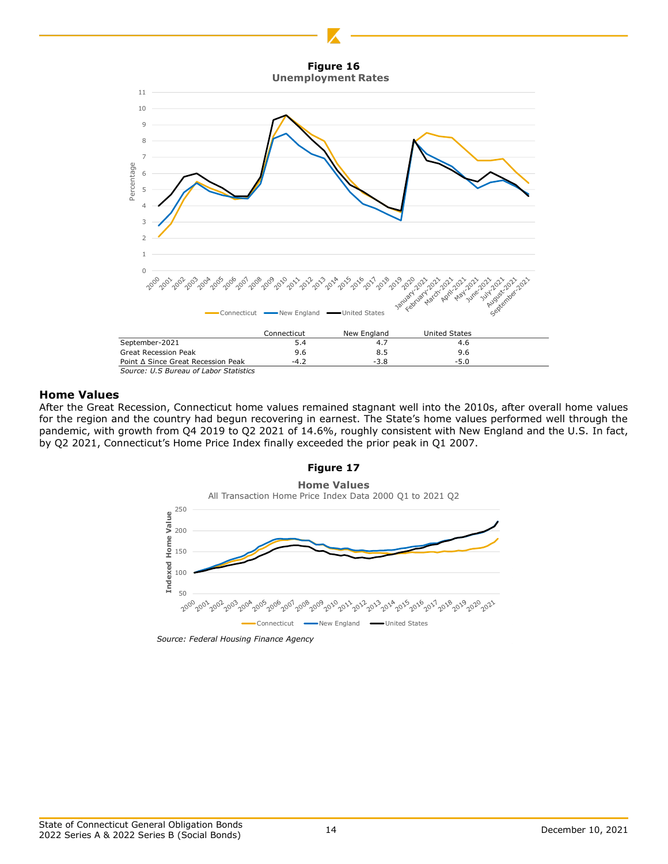



#### **Home Values**

After the Great Recession, Connecticut home values remained stagnant well into the 2010s, after overall home values for the region and the country had begun recovering in earnest. The State's home values performed well through the pandemic, with growth from Q4 2019 to Q2 2021 of 14.6%, roughly consistent with New England and the U.S. In fact, by Q2 2021, Connecticut's Home Price Index finally exceeded the prior peak in Q1 2007.